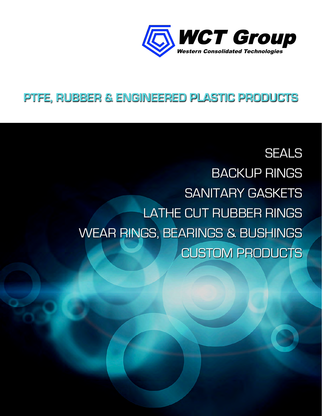

#### **PTFE, RUBBER & ENGINEERED PLASTIC PRODUCTS**

**SEALS**  BACKUP RINGS SANITARY GASKETS LATHE CUT RUBBER RINGS WEAR RINGS, BEARINGS & BUSHINGS CUSTOM PRODUCTS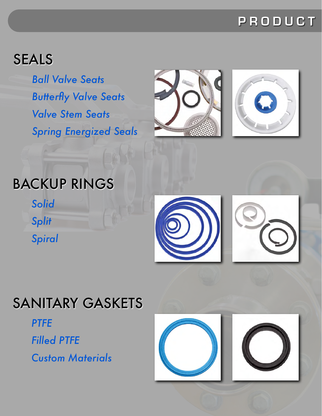#### **PRODUCT**

## SEALS

*Ball Valve Seats Butterfly Valve Seats Valve Stem Seats Spring Energized Seals*





## BACKUP RINGS

*Solid Split Spiral*



# SANITARY GASKETS

*PTFE*

*Filled PTFE*

*Custom Materials*

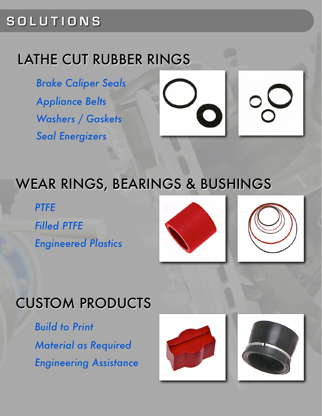#### **SOLUTIONS**

#### LATHE CUT RUBBER RINGS

*Brake Caliper Seals Appliance Belts Washers / Gaskets Seal Energizers*



## WEAR RINGS, BEARINGS & BUSHINGS

*PTFE Filled PTFE Engineered Plastics*



# CUSTOM PRODUCTS

*Build to Print Material as Required Engineering Assistance*